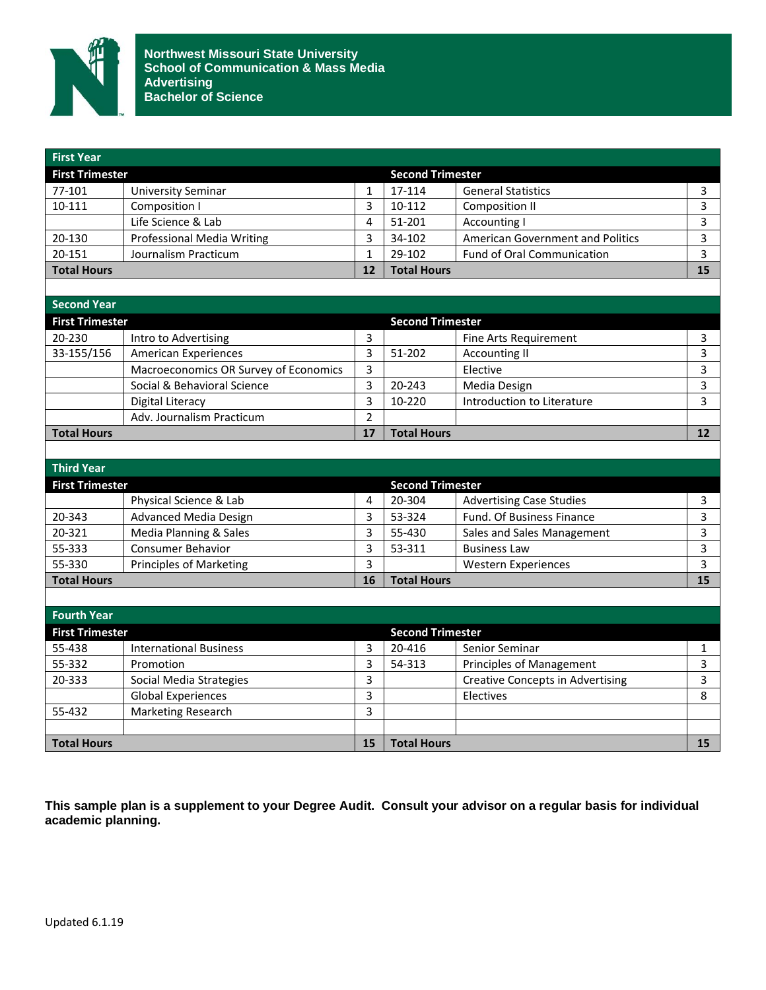

| <b>First Year</b>      |                                       |                         |                         |                                         |                         |
|------------------------|---------------------------------------|-------------------------|-------------------------|-----------------------------------------|-------------------------|
| <b>First Trimester</b> |                                       |                         | <b>Second Trimester</b> |                                         |                         |
| 77-101                 | <b>University Seminar</b>             | $\mathbf{1}$            | 17-114                  | <b>General Statistics</b>               | 3                       |
| 10-111                 | Composition I                         | 3                       | 10-112                  | <b>Composition II</b>                   | $\overline{3}$          |
|                        | Life Science & Lab                    | $\overline{\mathbf{4}}$ | 51-201                  | <b>Accounting I</b>                     | $\overline{\mathbf{3}}$ |
| 20-130                 | <b>Professional Media Writing</b>     | 3                       | 34-102                  | American Government and Politics        | 3                       |
| 20-151                 | Journalism Practicum                  | $\mathbf{1}$            | 29-102                  | <b>Fund of Oral Communication</b>       | 3                       |
| <b>Total Hours</b>     |                                       | 12                      | <b>Total Hours</b>      |                                         | 15                      |
|                        |                                       |                         |                         |                                         |                         |
| <b>Second Year</b>     |                                       |                         |                         |                                         |                         |
| <b>First Trimester</b> |                                       |                         | <b>Second Trimester</b> |                                         |                         |
| 20-230                 | Intro to Advertising                  | 3                       |                         | <b>Fine Arts Requirement</b>            | 3                       |
| 33-155/156             | <b>American Experiences</b>           | $\overline{3}$          | 51-202                  | <b>Accounting II</b>                    | $\overline{3}$          |
|                        | Macroeconomics OR Survey of Economics | 3                       |                         | Elective                                | $\overline{\mathbf{3}}$ |
|                        | Social & Behavioral Science           | 3                       | 20-243                  | Media Design                            | 3                       |
|                        | <b>Digital Literacy</b>               | 3                       | 10-220                  | Introduction to Literature              | 3                       |
|                        | Adv. Journalism Practicum             | $\overline{2}$          |                         |                                         |                         |
| <b>Total Hours</b>     |                                       | 17                      | <b>Total Hours</b>      |                                         | 12                      |
|                        |                                       |                         |                         |                                         |                         |
| <b>Third Year</b>      |                                       |                         |                         |                                         |                         |
| <b>First Trimester</b> |                                       |                         | <b>Second Trimester</b> |                                         |                         |
|                        | Physical Science & Lab                | 4                       | 20-304                  | <b>Advertising Case Studies</b>         | 3                       |
| 20-343                 | <b>Advanced Media Design</b>          | 3                       | 53-324                  | Fund. Of Business Finance               | $\overline{3}$          |
| 20-321                 | Media Planning & Sales                | 3                       | 55-430                  | Sales and Sales Management              | $\overline{3}$          |
| 55-333                 | <b>Consumer Behavior</b>              | 3                       | 53-311                  | <b>Business Law</b>                     | $\overline{3}$          |
| 55-330                 | <b>Principles of Marketing</b>        | 3                       |                         | <b>Western Experiences</b>              | $\overline{3}$          |
| <b>Total Hours</b>     |                                       | 16                      | <b>Total Hours</b>      |                                         | 15                      |
|                        |                                       |                         |                         |                                         |                         |
| <b>Fourth Year</b>     |                                       |                         |                         |                                         |                         |
| <b>First Trimester</b> |                                       |                         | <b>Second Trimester</b> |                                         |                         |
| 55-438                 | <b>International Business</b>         | 3                       | 20-416                  | Senior Seminar                          | 1                       |
| 55-332                 | Promotion                             | 3                       | 54-313                  | Principles of Management                | $\overline{\mathbf{3}}$ |
| 20-333                 | Social Media Strategies               | 3                       |                         | <b>Creative Concepts in Advertising</b> | $\overline{3}$          |
|                        | <b>Global Experiences</b>             | 3                       |                         | Electives                               | 8                       |
| 55-432                 | <b>Marketing Research</b>             | 3                       |                         |                                         |                         |
|                        |                                       |                         |                         |                                         |                         |
| <b>Total Hours</b>     |                                       | 15                      | <b>Total Hours</b>      |                                         | 15                      |

**This sample plan is a supplement to your Degree Audit. Consult your advisor on a regular basis for individual academic planning.**